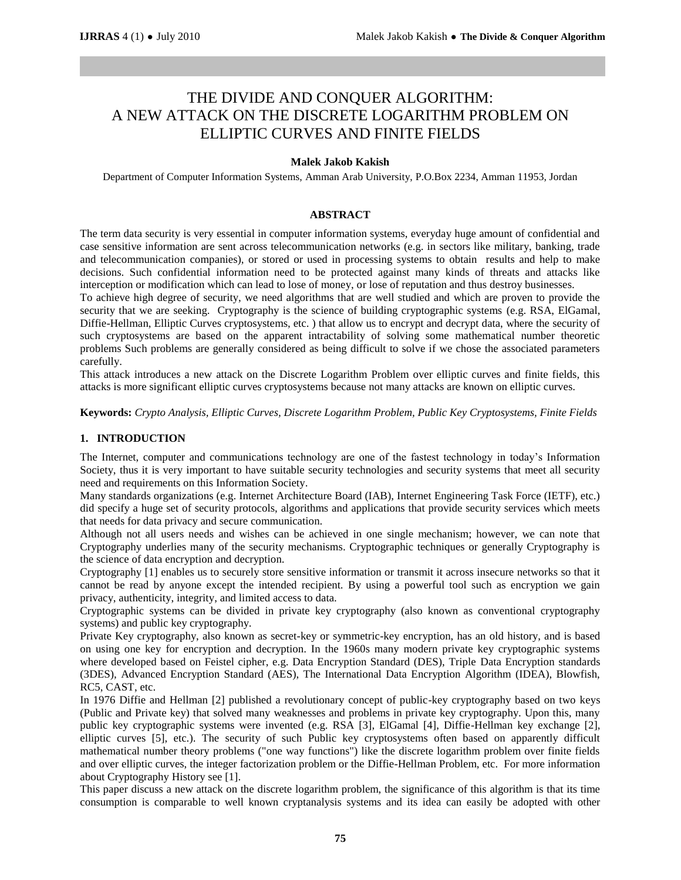# THE DIVIDE AND CONQUER ALGORITHM: A NEW ATTACK ON THE DISCRETE LOGARITHM PROBLEM ON ELLIPTIC CURVES AND FINITE FIELDS

### **Malek Jakob Kakish**

Department of Computer Information Systems, Amman Arab University, P.O.Box 2234, Amman 11953, Jordan

# **ABSTRACT**

The term data security is very essential in computer information systems, everyday huge amount of confidential and case sensitive information are sent across telecommunication networks (e.g. in sectors like military, banking, trade and telecommunication companies), or stored or used in processing systems to obtain results and help to make decisions. Such confidential information need to be protected against many kinds of threats and attacks like interception or modification which can lead to lose of money, or lose of reputation and thus destroy businesses.

To achieve high degree of security, we need algorithms that are well studied and which are proven to provide the security that we are seeking. Cryptography is the science of building cryptographic systems (e.g. RSA, ElGamal, Diffie-Hellman, Elliptic Curves cryptosystems, etc. ) that allow us to encrypt and decrypt data, where the security of such cryptosystems are based on the apparent intractability of solving some mathematical number theoretic problems Such problems are generally considered as being difficult to solve if we chose the associated parameters carefully.

This attack introduces a new attack on the Discrete Logarithm Problem over elliptic curves and finite fields, this attacks is more significant elliptic curves cryptosystems because not many attacks are known on elliptic curves.

**Keywords:** *Crypto Analysis, Elliptic Curves, Discrete Logarithm Problem, Public Key Cryptosystems, Finite Fields*

# **1. INTRODUCTION**

The Internet, computer and communications technology are one of the fastest technology in today's Information Society, thus it is very important to have suitable security technologies and security systems that meet all security need and requirements on this Information Society.

Many standards organizations (e.g. Internet Architecture Board (IAB), Internet Engineering Task Force (IETF), etc.) did specify a huge set of security protocols, algorithms and applications that provide security services which meets that needs for data privacy and secure communication.

Although not all users needs and wishes can be achieved in one single mechanism; however, we can note that Cryptography underlies many of the security mechanisms. Cryptographic techniques or generally Cryptography is the science of data encryption and decryption.

Cryptography [1] enables us to securely store sensitive information or transmit it across insecure networks so that it cannot be read by anyone except the intended recipient. By using a powerful tool such as encryption we gain privacy, authenticity, integrity, and limited access to data.

Cryptographic systems can be divided in private key cryptography (also known as conventional cryptography systems) and public key cryptography.

Private Key cryptography, also known as secret-key or symmetric-key encryption, has an old history, and is based on using one key for encryption and decryption. In the 1960s many modern private key cryptographic systems where developed based on Feistel cipher, e.g. Data Encryption Standard (DES), Triple Data Encryption standards (3DES), Advanced Encryption Standard (AES), The International Data Encryption Algorithm (IDEA), Blowfish, RC5, CAST, etc.

In 1976 Diffie and Hellman [2] published a revolutionary concept of public-key cryptography based on two keys (Public and Private key) that solved many weaknesses and problems in private key cryptography. Upon this, many public key cryptographic systems were invented (e.g. RSA [3], ElGamal [4], Diffie-Hellman key exchange [2], elliptic curves [5], etc.). The security of such Public key cryptosystems often based on apparently difficult mathematical number theory problems ("one way functions") like the discrete logarithm problem over finite fields and over elliptic curves, the integer factorization problem or the Diffie-Hellman Problem, etc. For more information about Cryptography History see [1].

This paper discuss a new attack on the discrete logarithm problem, the significance of this algorithm is that its time consumption is comparable to well known cryptanalysis systems and its idea can easily be adopted with other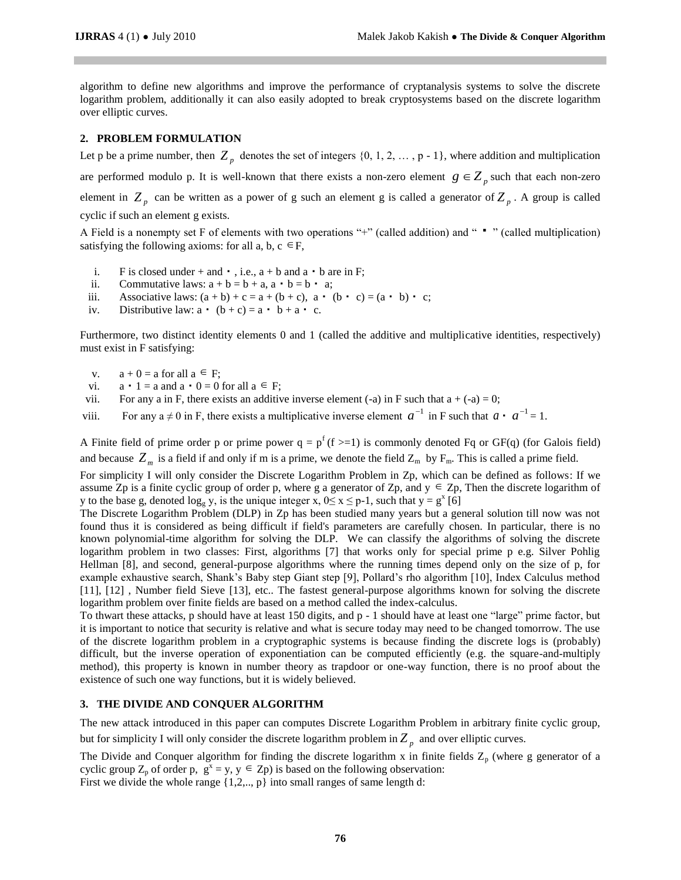algorithm to define new algorithms and improve the performance of cryptanalysis systems to solve the discrete logarithm problem, additionally it can also easily adopted to break cryptosystems based on the discrete logarithm over elliptic curves.

#### **2. PROBLEM FORMULATION**

Let p be a prime number, then  $Z_p$  denotes the set of integers  $\{0, 1, 2, ..., p-1\}$ , where addition and multiplication are performed modulo p. It is well-known that there exists a non-zero element  $g \in Z_p$  such that each non-zero element in  $Z_p$  can be written as a power of g such an element g is called a generator of  $Z_p$ . A group is called cyclic if such an element g exists.

A Field is a nonempty set F of elements with two operations "+" (called addition) and " " " (called multiplication) satisfying the following axioms: for all a, b,  $c \in F$ ,

- i. F is closed under + and  $\cdot$ , i.e.,  $a + b$  and  $a \cdot b$  are in F;
- ii. Commutative laws:  $a + b = b + a$ ,  $a \cdot b = b \cdot a$ ;
- iii. Associative laws:  $(a + b) + c = a + (b + c)$ ,  $a \cdot (b \cdot c) = (a \cdot b) \cdot c$ ;
- iv. Distributive law:  $a \cdot (b + c) = a \cdot b + a \cdot c$ .

Furthermore, two distinct identity elements 0 and 1 (called the additive and multiplicative identities, respectively) must exist in F satisfying:

- v.  $a + 0 = a$  for all  $a \in F$ ;
- vi.  $a \cdot 1 = a$  and  $a \cdot 0 = 0$  for all  $a \in F$ ;
- vii. For any a in F, there exists an additive inverse element (-a) in F such that  $a + (-a) = 0$ ;
- viii. For any  $a \neq 0$  in F, there exists a multiplicative inverse element  $a^{-1}$  in F such that  $a \cdot a^{-1} = 1$ .

A Finite field of prime order p or prime power  $q = p^f(f \geq 1)$  is commonly denoted Fq or GF(q) (for Galois field) and because  $Z_m$  is a field if and only if m is a prime, we denote the field  $Z_m$  by  $F_m$ . This is called a prime field.

For simplicity I will only consider the Discrete Logarithm Problem in Zp, which can be defined as follows: If we assume  $Zp$  is a finite cyclic group of order p, where g a generator of  $Zp$ , and  $y \in Zp$ , Then the discrete logarithm of y to the base g, denoted  $\log_g y$ , is the unique integer x,  $0 \le x \le p-1$ , such that  $y = g^x$  [6]

The Discrete Logarithm Problem (DLP) in Zp has been studied many years but a general solution till now was not found thus it is considered as being difficult if field's parameters are carefully chosen. In particular, there is no known polynomial-time algorithm for solving the DLP. We can classify the algorithms of solving the discrete logarithm problem in two classes: First, algorithms [7] that works only for special prime p e.g. Silver Pohlig Hellman [8], and second, general-purpose algorithms where the running times depend only on the size of p, for example exhaustive search, Shank's Baby step Giant step [9], Pollard's rho algorithm [10], Index Calculus method [11], [12] , Number field Sieve [13], etc.. The fastest general-purpose algorithms known for solving the discrete logarithm problem over finite fields are based on a method called the index-calculus.

To thwart these attacks, p should have at least 150 digits, and p - 1 should have at least one "large" prime factor, but it is important to notice that security is relative and what is secure today may need to be changed tomorrow. The use of the discrete logarithm problem in a cryptographic systems is because finding the discrete logs is (probably) difficult, but the inverse operation of exponentiation can be computed efficiently (e.g. the square-and-multiply method), this property is known in number theory as trapdoor or one-way function, there is no proof about the existence of such one way functions, but it is widely believed.

#### **3. THE DIVIDE AND CONQUER ALGORITHM**

The new attack introduced in this paper can computes Discrete Logarithm Problem in arbitrary finite cyclic group, but for simplicity I will only consider the discrete logarithm problem in  $Z_p$  and over elliptic curves.

The Divide and Conquer algorithm for finding the discrete logarithm x in finite fields  $Z_p$  (where g generator of a cyclic group  $Z_p$  of order p,  $g^x = y$ ,  $y \in Z_p$ ) is based on the following observation: First we divide the whole range {1,2,.., p} into small ranges of same length d: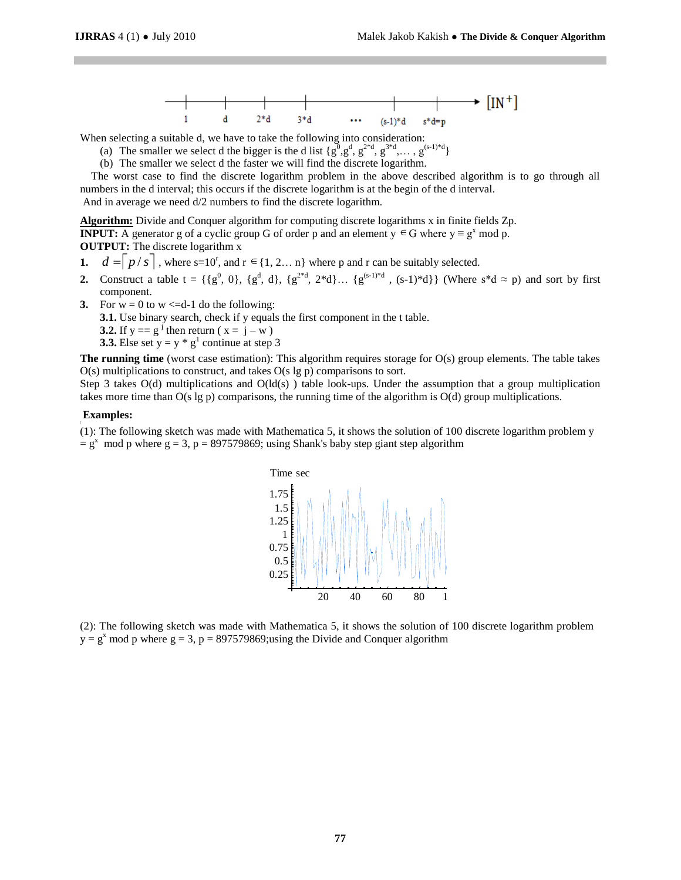

When selecting a suitable d, we have to take the following into consideration:

- (a) The smaller we select d the bigger is the d list  $\{g^0, g^d, g^{2*d}, g^{3*d}, \ldots, g^{(s-1)*d}\}\$
- (b) The smaller we select d the faster we will find the discrete logarithm.

 The worst case to find the discrete logarithm problem in the above described algorithm is to go through all numbers in the d interval; this occurs if the discrete logarithm is at the begin of the d interval.

And in average we need d/2 numbers to find the discrete logarithm.

**Algorithm:** Divide and Conquer algorithm for computing discrete logarithms x in finite fields Zp. **INPUT:** A generator g of a cyclic group G of order p and an element  $y \in G$  where  $y \equiv g^x \mod p$ .

**OUTPUT:** The discrete logarithm x

- **1.**  $d = |p/s|$ , where s=10<sup>r</sup>, and  $r \in \{1, 2...n\}$  where p and r can be suitably selected.
- **2.** Construct a table  $t = \{ \{g^0, 0\}, \{g^d, d\}, \{g^{2*d}, 2*d\} \dots \{g^{(s-1)*d}\}, \text{ (Where } s*d \approx p) \text{ and sort by first } \}$ component.
- **3.** For  $w = 0$  to  $w \leq d-1$  do the following:

**3.1.** Use binary search, check if y equals the first component in the t table.

**3.2.** If  $y = g^j$  then return ( $x = j - w$ )

**3.3.** Else set  $y = y * g<sup>1</sup>$  continue at step 3

**The running time** (worst case estimation): This algorithm requires storage for O(s) group elements. The table takes  $O(s)$  multiplications to construct, and takes  $O(s \lg p)$  comparisons to sort.

Step 3 takes  $O(d)$  multiplications and  $O(d(s))$  table look-ups. Under the assumption that a group multiplication takes more time than O(s lg p) comparisons, the running time of the algorithm is O(d) group multiplications.

#### **Examples:**

(1): The following sketch was made with Mathematica 5, it shows the solution of 100 discrete logarithm problem y  $= g<sup>x</sup>$  mod p where  $g = 3$ , p = 897579869; using Shank's baby step giant step algorithm



(2): The following sketch was made with Mathematica 5, it shows the solution of 100 discrete logarithm problem  $y = g<sup>x</sup>$  mod p where  $g = 3$ ,  $p = 897579869$ ; using the Divide and Conquer algorithm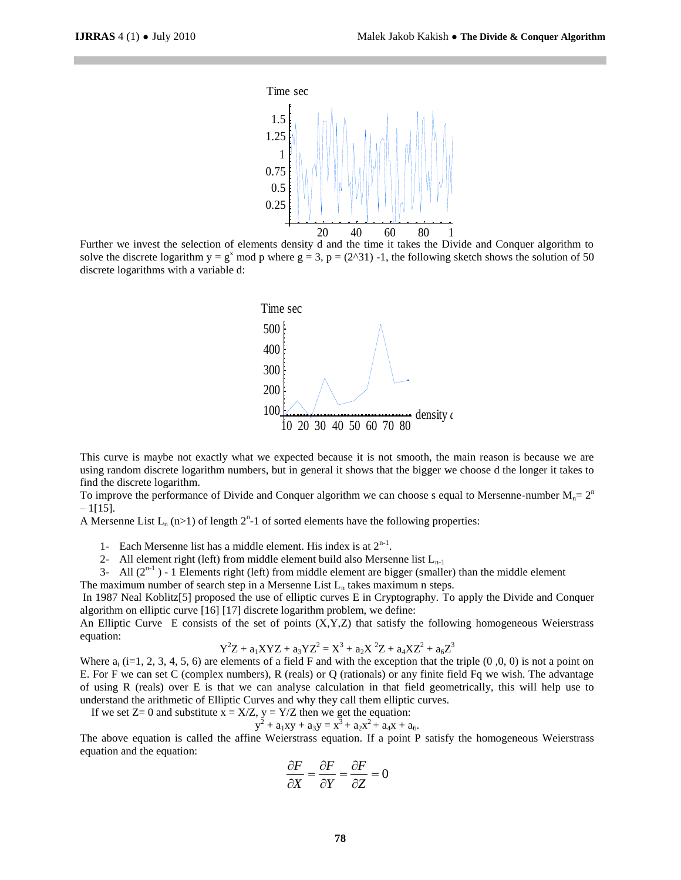

Further we invest the selection of elements density d and the time it takes the Divide and Conquer algorithm to solve the discrete logarithm  $y = g^x \mod p$  where  $g = 3$ ,  $p = (2^x 31)$  -1, the following sketch shows the solution of 50 discrete logarithms with a variable d:



This curve is maybe not exactly what we expected because it is not smooth, the main reason is because we are using random discrete logarithm numbers, but in general it shows that the bigger we choose d the longer it takes to find the discrete logarithm.

To improve the performance of Divide and Conquer algorithm we can choose s equal to Mersenne-number  $M_n = 2^n$  $-1$ [15].

A Mersenne List  $L_n$  (n>1) of length  $2^n$ -1 of sorted elements have the following properties:

1- Each Mersenne list has a middle element. His index is at  $2^{n-1}$ .

2- All element right (left) from middle element build also Mersenne list  $L_{n-1}$ 

3- All  $(2^{n-1})$  - 1 Elements right (left) from middle element are bigger (smaller) than the middle element

The maximum number of search step in a Mersenne List  $L_n$  takes maximum n steps.

In 1987 Neal Koblitz[5] proposed the use of elliptic curves E in Cryptography. To apply the Divide and Conquer algorithm on elliptic curve [16] [17] discrete logarithm problem, we define:

An Elliptic Curve E consists of the set of points  $(X, Y, Z)$  that satisfy the following homogeneous Weierstrass equation:

$$
Y^{2}Z + a_{1}XYZ + a_{3}YZ^{2} = X^{3} + a_{2}X^{2}Z + a_{4}XZ^{2} + a_{6}Z^{3}
$$

Where  $a_i$  (i=1, 2, 3, 4, 5, 6) are elements of a field F and with the exception that the triple  $(0,0,0)$  is not a point on E. For F we can set C (complex numbers), R (reals) or Q (rationals) or any finite field Fq we wish. The advantage of using R (reals) over E is that we can analyse calculation in that field geometrically, this will help use to understand the arithmetic of Elliptic Curves and why they call them elliptic curves.

If we set  $Z=0$  and substitute  $x = X/Z$ ,  $y = Y/Z$  then we get the equation:

$$
y^2 + a_1xy + a_3y = x^3 + a_2x^2 + a_4x + a_6.
$$

The above equation is called the affine Weierstrass equation. If a point P satisfy the homogeneous Weierstrass equation and the equation:

$$
\frac{\partial F}{\partial X} = \frac{\partial F}{\partial Y} = \frac{\partial F}{\partial Z} = 0
$$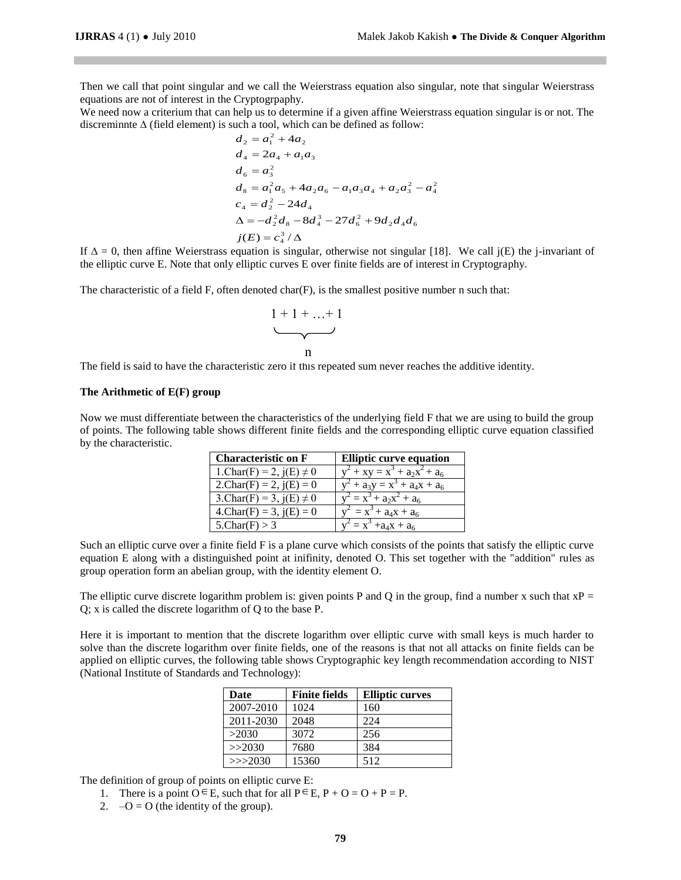Then we call that point singular and we call the Weierstrass equation also singular, note that singular Weierstrass equations are not of interest in the Cryptogrpaphy.

We need now a criterium that can help us to determine if a given affine Weierstrass equation singular is or not. The discreminnte ∆ (field element) is such a tool, which can be defined as follow:

$$
d_2 = a_1^2 + 4a_2
$$
  
\n
$$
d_4 = 2a_4 + a_1a_3
$$
  
\n
$$
d_6 = a_3^2
$$
  
\n
$$
d_8 = a_1^2a_5 + 4a_2a_6 - a_1a_3a_4 + a_2a_3^2 - a_4^2
$$
  
\n
$$
c_4 = d_2^2 - 24d_4
$$
  
\n
$$
\Delta = -d_2^2d_8 - 8d_4^3 - 27d_6^2 + 9d_2d_4d_6
$$
  
\n
$$
j(E) = c_4^3/\Delta
$$

If  $\Delta = 0$ , then affine Weierstrass equation is singular, otherwise not singular [18]. We call j(E) the j-invariant of the elliptic curve E. Note that only elliptic curves E over finite fields are of interest in Cryptography.

The characteristic of a field F, often denoted char(F), is the smallest positive number n such that:

$$
\underbrace{1+1+\ldots+1}_{n}
$$

The field is said to have the characteristic zero if this repeated sum never reaches the additive identity. s

### **The Arithmetic of E(F) group**

Now we must differentiate between the characteristics of the underlying field F that we are using to build the group of points. The following table shows different finite fields and the corresponding elliptic curve equation classified a by the characteristic.

| <b>Characteristic on F</b>    | <b>Elliptic curve equation</b>  |
|-------------------------------|---------------------------------|
| 1. Char(F) = 2, $j(E) \neq 0$ | $y^2 + xy = x^3 + a_2x^2 + a_6$ |
| 2. $Char(F) = 2$ , $j(E) = 0$ | $y^2 + a_3y = x^3 + a_4x + a_6$ |
| 3.Char(F) = 3, $j(E) \neq 0$  | $y^2 = x^3 + a_2x^2 + a_6$      |
| $4.Char(F) = 3$ , $j(E) = 0$  | $y^2 = x^3 + a_4x + a_6$        |
| $5$ Char(F) > 3               | $y^2 = x^3 + a_4x + a_6$        |

Such an elliptic curve over a finite field F is a plane curve which consists of the points that satisfy the elliptic curve equation E along with a distinguished point at inifinity, denoted O. This set together with the "addition" rules as group operation form an abelian group, with the identity element O.

The elliptic curve discrete logarithm problem is: given points P and Q in the group, find a number x such that  $xP =$ Q; x is called the discrete logarithm of Q to the base P.

Here it is important to mention that the discrete logarithm over elliptic curve with small keys is much harder to solve than the discrete logarithm over finite fields, one of the reasons is that not all attacks on finite fields can be applied on elliptic curves, the following table shows Cryptographic key length recommendation according to NIST (National Institute of Standards and Technology):

| Date      | <b>Finite fields</b> | <b>Elliptic curves</b> |
|-----------|----------------------|------------------------|
| 2007-2010 | 1024                 | 160                    |
| 2011-2030 | 2048                 | 224                    |
| >2030     | 3072                 | 256                    |
| >>2030    | 7680                 | 384                    |
| >>2030    | 15360                | 512                    |

The definition of group of points on elliptic curve E:

- 1. There is a point  $O \in E$ , such that for all  $P \in E$ ,  $P + O = O + P = P$ .
- 2.  $-Q = O$  (the identity of the group).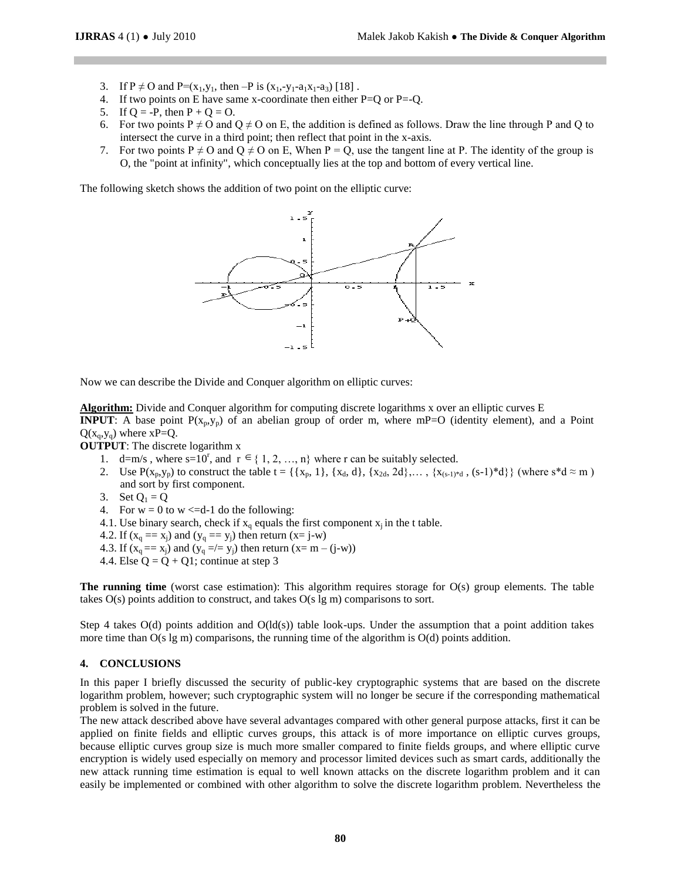- 3. If  $P \neq O$  and  $P=(x_1,y_1, \text{ then } -P \text{ is } (x_1,-y_1-a_1x_1-a_3)$  [18].
- 4. If two points on E have same x-coordinate then either  $P=Q$  or  $P=-Q$ .
- 5. If  $Q = -P$ , then  $P + Q = Q$ .
- 6. For two points P  $\neq$  O and Q  $\neq$  O on E, the addition is defined as follows. Draw the line through P and Q to intersect the curve in a third point; then reflect that point in the x-axis.
- 7. For two points P  $\neq$  O and Q  $\neq$  O on E, When P = Q, use the tangent line at P. The identity of the group is O, the "point at infinity", which conceptually lies at the top and bottom of every vertical line.

The following sketch shows the addition of two point on the elliptic curve:



Now we can describe the Divide and Conquer algorithm on elliptic curves:

**Algorithm:** Divide and Conquer algorithm for computing discrete logarithms x over an elliptic curves E **INPUT**: A base point  $P(x_n, y_n)$  of an abelian group of order m, where mP=O (identity element), and a Point  $Q(x_0, y_0)$  where  $xP=Q$ .

**OUTPUT**: The discrete logarithm x

- 1. d=m/s, where  $s=10^r$ , and  $r \in \{1, 2, ..., n\}$  where r can be suitably selected.
- 2. Use  $P(x_p, y_p)$  to construct the table  $t = \{\{x_p, 1\}, \{x_d, d\}, \{x_{2d}, 2d\}, \dots, \{x_{(s-1)^*d}, (s-1)^*d\}\}\$  (where  $s^*d \approx m$ ) and sort by first component.
- 3. Set  $Q_1 = Q$
- 4. For  $w = 0$  to  $w \leq d-1$  do the following:
- 4.1. Use binary search, check if  $x_q$  equals the first component  $x_i$  in the t table.
- 4.2. If  $(x_q == x_j)$  and  $(y_q == y_j)$  then return  $(x = j-w)$
- 4.3. If  $(x_q == x_j)$  and  $(y_q = / = y_j)$  then return  $(x = m (j-w))$
- 4.4. Else  $Q = Q + Q1$ ; continue at step 3

**The running time** (worst case estimation): This algorithm requires storage for O(s) group elements. The table takes O(s) points addition to construct, and takes O(s lg m) comparisons to sort.

Step 4 takes  $O(d)$  points addition and  $O(d(s))$  table look-ups. Under the assumption that a point addition takes more time than O(s lg m) comparisons, the running time of the algorithm is O(d) points addition.

# **4. CONCLUSIONS**

In this paper I briefly discussed the security of public-key cryptographic systems that are based on the discrete logarithm problem, however; such cryptographic system will no longer be secure if the corresponding mathematical problem is solved in the future.

The new attack described above have several advantages compared with other general purpose attacks, first it can be applied on finite fields and elliptic curves groups, this attack is of more importance on elliptic curves groups, because elliptic curves group size is much more smaller compared to finite fields groups, and where elliptic curve encryption is widely used especially on memory and processor limited devices such as smart cards, additionally the new attack running time estimation is equal to well known attacks on the discrete logarithm problem and it can easily be implemented or combined with other algorithm to solve the discrete logarithm problem. Nevertheless the